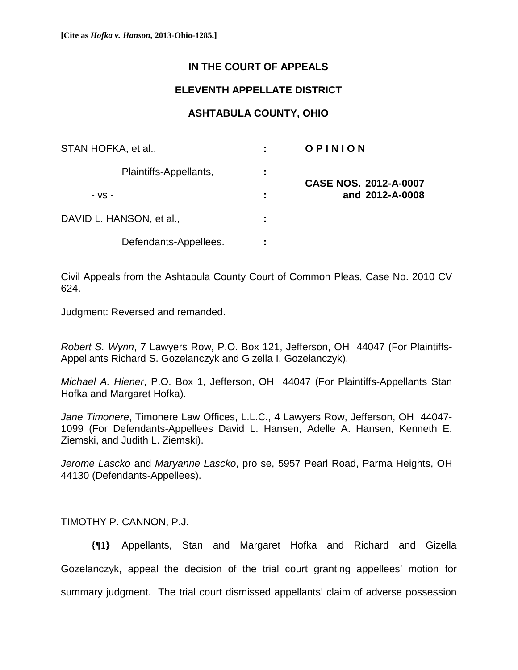## **IN THE COURT OF APPEALS**

## **ELEVENTH APPELLATE DISTRICT**

## **ASHTABULA COUNTY, OHIO**

| STAN HOFKA, et al.,      |    | OPINION                      |
|--------------------------|----|------------------------------|
| Plaintiffs-Appellants,   | ÷. | <b>CASE NOS. 2012-A-0007</b> |
| $-VS -$                  |    | and 2012-A-0008              |
| DAVID L. HANSON, et al., | ÷  |                              |
| Defendants-Appellees.    | ٠. |                              |

Civil Appeals from the Ashtabula County Court of Common Pleas, Case No. 2010 CV 624.

Judgment: Reversed and remanded.

*Robert S. Wynn*, 7 Lawyers Row, P.O. Box 121, Jefferson, OH 44047 (For Plaintiffs-Appellants Richard S. Gozelanczyk and Gizella I. Gozelanczyk).

*Michael A. Hiener*, P.O. Box 1, Jefferson, OH 44047 (For Plaintiffs-Appellants Stan Hofka and Margaret Hofka).

*Jane Timonere*, Timonere Law Offices, L.L.C., 4 Lawyers Row, Jefferson, OH 44047- 1099 (For Defendants-Appellees David L. Hansen, Adelle A. Hansen, Kenneth E. Ziemski, and Judith L. Ziemski).

*Jerome Lascko* and *Maryanne Lascko*, pro se, 5957 Pearl Road, Parma Heights, OH 44130 (Defendants-Appellees).

TIMOTHY P. CANNON, P.J.

**{¶1}** Appellants, Stan and Margaret Hofka and Richard and Gizella Gozelanczyk, appeal the decision of the trial court granting appellees' motion for summary judgment. The trial court dismissed appellants' claim of adverse possession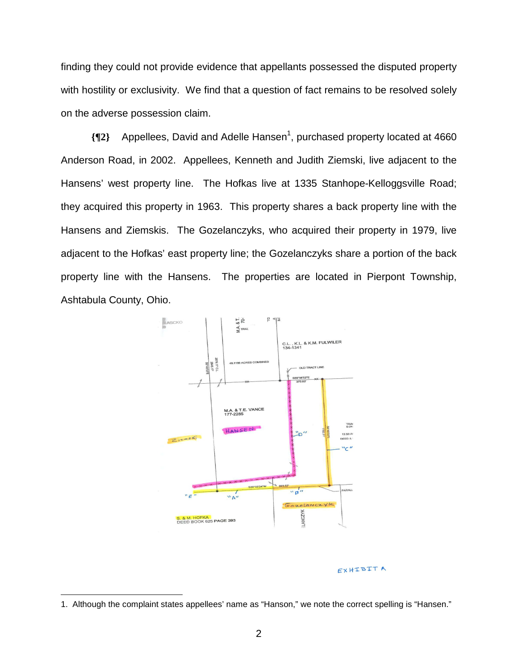finding they could not provide evidence that appellants possessed the disputed property with hostility or exclusivity. We find that a question of fact remains to be resolved solely on the adverse possession claim.

**{¶2}** Appellees, David and Adelle Hansen1 , purchased property located at 4660 Anderson Road, in 2002. Appellees, Kenneth and Judith Ziemski, live adjacent to the Hansens' west property line. The Hofkas live at 1335 Stanhope-Kelloggsville Road; they acquired this property in 1963. This property shares a back property line with the Hansens and Ziemskis. The Gozelanczyks, who acquired their property in 1979, live adjacent to the Hofkas' east property line; the Gozelanczyks share a portion of the back property line with the Hansens. The properties are located in Pierpont Township, Ashtabula County, Ohio.



## EXHIBIT A

<sup>1.</sup> Although the complaint states appellees' name as "Hanson," we note the correct spelling is "Hansen."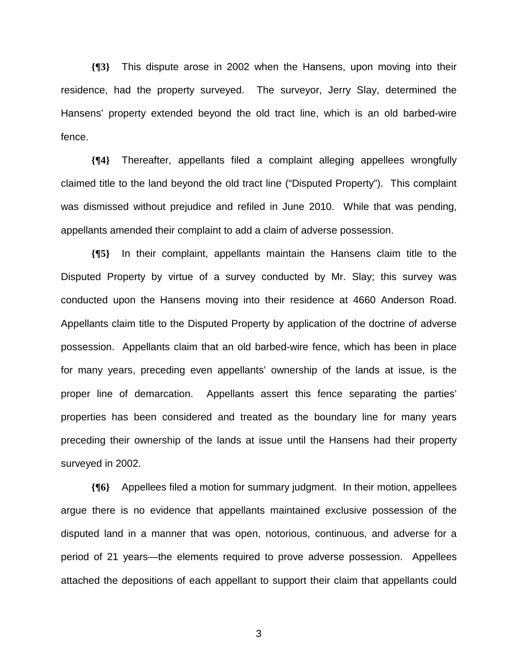**{¶3}** This dispute arose in 2002 when the Hansens, upon moving into their residence, had the property surveyed. The surveyor, Jerry Slay, determined the Hansens' property extended beyond the old tract line, which is an old barbed-wire fence.

**{¶4}** Thereafter, appellants filed a complaint alleging appellees wrongfully claimed title to the land beyond the old tract line ("Disputed Property"). This complaint was dismissed without prejudice and refiled in June 2010. While that was pending, appellants amended their complaint to add a claim of adverse possession.

**{¶5}** In their complaint, appellants maintain the Hansens claim title to the Disputed Property by virtue of a survey conducted by Mr. Slay; this survey was conducted upon the Hansens moving into their residence at 4660 Anderson Road. Appellants claim title to the Disputed Property by application of the doctrine of adverse possession. Appellants claim that an old barbed-wire fence, which has been in place for many years, preceding even appellants' ownership of the lands at issue, is the proper line of demarcation. Appellants assert this fence separating the parties' properties has been considered and treated as the boundary line for many years preceding their ownership of the lands at issue until the Hansens had their property surveyed in 2002.

**{¶6}** Appellees filed a motion for summary judgment. In their motion, appellees argue there is no evidence that appellants maintained exclusive possession of the disputed land in a manner that was open, notorious, continuous, and adverse for a period of 21 years—the elements required to prove adverse possession. Appellees attached the depositions of each appellant to support their claim that appellants could

 $\sim$  3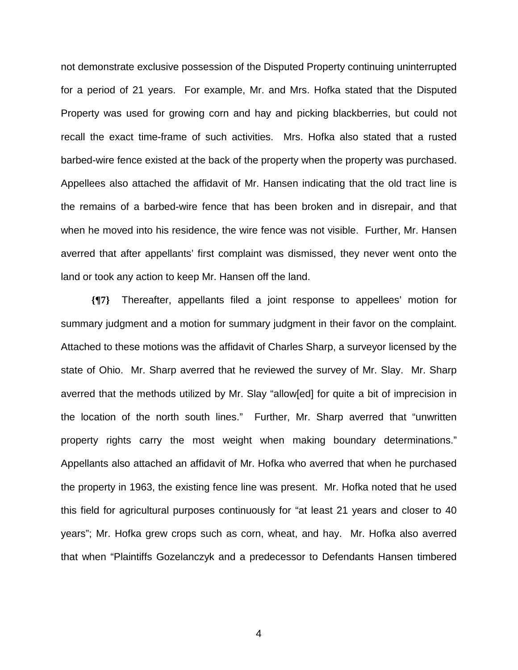not demonstrate exclusive possession of the Disputed Property continuing uninterrupted for a period of 21 years. For example, Mr. and Mrs. Hofka stated that the Disputed Property was used for growing corn and hay and picking blackberries, but could not recall the exact time-frame of such activities. Mrs. Hofka also stated that a rusted barbed-wire fence existed at the back of the property when the property was purchased. Appellees also attached the affidavit of Mr. Hansen indicating that the old tract line is the remains of a barbed-wire fence that has been broken and in disrepair, and that when he moved into his residence, the wire fence was not visible. Further, Mr. Hansen averred that after appellants' first complaint was dismissed, they never went onto the land or took any action to keep Mr. Hansen off the land.

**{¶7}** Thereafter, appellants filed a joint response to appellees' motion for summary judgment and a motion for summary judgment in their favor on the complaint. Attached to these motions was the affidavit of Charles Sharp, a surveyor licensed by the state of Ohio. Mr. Sharp averred that he reviewed the survey of Mr. Slay. Mr. Sharp averred that the methods utilized by Mr. Slay "allow[ed] for quite a bit of imprecision in the location of the north south lines." Further, Mr. Sharp averred that "unwritten property rights carry the most weight when making boundary determinations." Appellants also attached an affidavit of Mr. Hofka who averred that when he purchased the property in 1963, the existing fence line was present. Mr. Hofka noted that he used this field for agricultural purposes continuously for "at least 21 years and closer to 40 years"; Mr. Hofka grew crops such as corn, wheat, and hay. Mr. Hofka also averred that when "Plaintiffs Gozelanczyk and a predecessor to Defendants Hansen timbered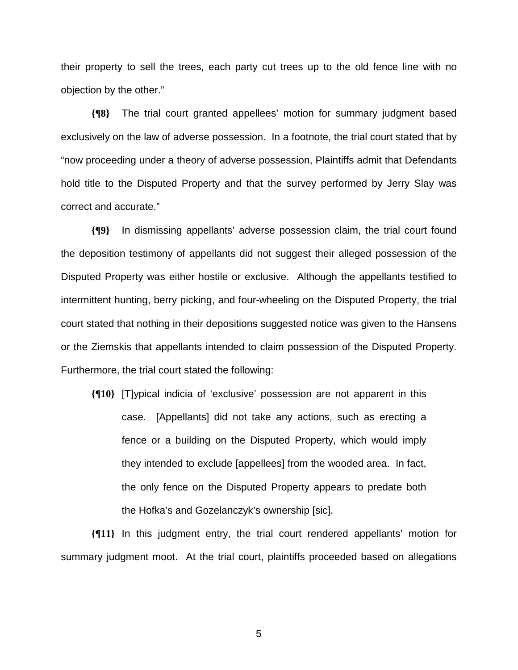their property to sell the trees, each party cut trees up to the old fence line with no objection by the other."

**{¶8}** The trial court granted appellees' motion for summary judgment based exclusively on the law of adverse possession. In a footnote, the trial court stated that by "now proceeding under a theory of adverse possession, Plaintiffs admit that Defendants hold title to the Disputed Property and that the survey performed by Jerry Slay was correct and accurate."

**{¶9}** In dismissing appellants' adverse possession claim, the trial court found the deposition testimony of appellants did not suggest their alleged possession of the Disputed Property was either hostile or exclusive. Although the appellants testified to intermittent hunting, berry picking, and four-wheeling on the Disputed Property, the trial court stated that nothing in their depositions suggested notice was given to the Hansens or the Ziemskis that appellants intended to claim possession of the Disputed Property. Furthermore, the trial court stated the following:

**{¶10}** [T]ypical indicia of 'exclusive' possession are not apparent in this case. [Appellants] did not take any actions, such as erecting a fence or a building on the Disputed Property, which would imply they intended to exclude [appellees] from the wooded area. In fact, the only fence on the Disputed Property appears to predate both the Hofka's and Gozelanczyk's ownership [sic].

**{¶11}** In this judgment entry, the trial court rendered appellants' motion for summary judgment moot. At the trial court, plaintiffs proceeded based on allegations

 $\sim$  5  $\sim$  5  $\sim$  5  $\sim$  5  $\sim$  5  $\sim$  5  $\sim$  5  $\sim$  5  $\sim$  5  $\sim$  5  $\sim$  5  $\sim$  5  $\sim$  5  $\sim$  5  $\sim$  5  $\sim$  5  $\sim$  5  $\sim$  5  $\sim$  5  $\sim$  5  $\sim$  5  $\sim$  5  $\sim$  5  $\sim$  5  $\sim$  5  $\sim$  5  $\sim$  5  $\sim$  5  $\sim$  5  $\sim$  5  $\sim$  5  $\sim$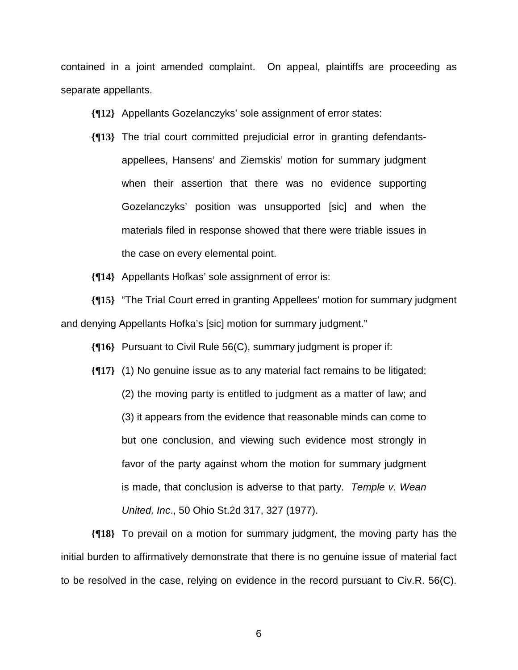contained in a joint amended complaint. On appeal, plaintiffs are proceeding as separate appellants.

**{¶12}** Appellants Gozelanczyks' sole assignment of error states:

- **{¶13}** The trial court committed prejudicial error in granting defendantsappellees, Hansens' and Ziemskis' motion for summary judgment when their assertion that there was no evidence supporting Gozelanczyks' position was unsupported [sic] and when the materials filed in response showed that there were triable issues in the case on every elemental point.
- **{¶14}** Appellants Hofkas' sole assignment of error is:

**{¶15}** "The Trial Court erred in granting Appellees' motion for summary judgment and denying Appellants Hofka's [sic] motion for summary judgment."

**{¶16}** Pursuant to Civil Rule 56(C), summary judgment is proper if:

**{¶17}** (1) No genuine issue as to any material fact remains to be litigated; (2) the moving party is entitled to judgment as a matter of law; and (3) it appears from the evidence that reasonable minds can come to but one conclusion, and viewing such evidence most strongly in favor of the party against whom the motion for summary judgment is made, that conclusion is adverse to that party. *Temple v. Wean United, Inc*., 50 Ohio St.2d 317, 327 (1977).

**{¶18}** To prevail on a motion for summary judgment, the moving party has the initial burden to affirmatively demonstrate that there is no genuine issue of material fact to be resolved in the case, relying on evidence in the record pursuant to Civ.R. 56(C).

 $\sim$  600  $\sim$  600  $\sim$  600  $\sim$  600  $\sim$  600  $\sim$  600  $\sim$  600  $\sim$  600  $\sim$  600  $\sim$  600  $\sim$  600  $\sim$  600  $\sim$  600  $\sim$  600  $\sim$  600  $\sim$  600  $\sim$  600  $\sim$  600  $\sim$  600  $\sim$  600  $\sim$  600  $\sim$  600  $\sim$  600  $\sim$  600  $\sim$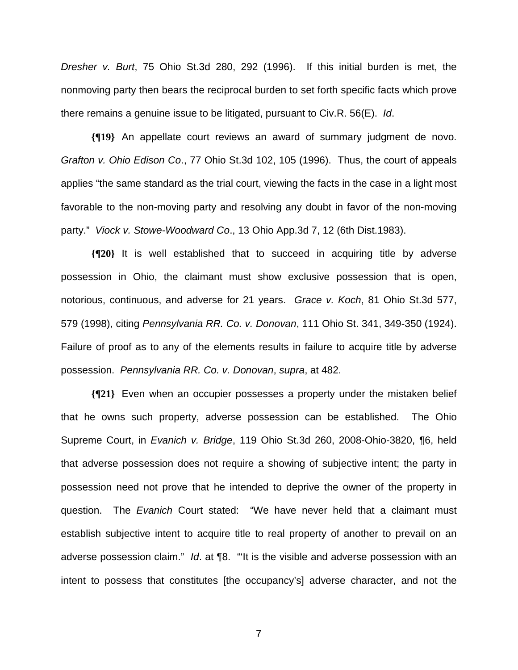*Dresher v. Burt*, 75 Ohio St.3d 280, 292 (1996). If this initial burden is met, the nonmoving party then bears the reciprocal burden to set forth specific facts which prove there remains a genuine issue to be litigated, pursuant to Civ.R. 56(E). *Id*.

**{¶19}** An appellate court reviews an award of summary judgment de novo. *Grafton v. Ohio Edison Co*., 77 Ohio St.3d 102, 105 (1996). Thus, the court of appeals applies "the same standard as the trial court, viewing the facts in the case in a light most favorable to the non-moving party and resolving any doubt in favor of the non-moving party." *Viock v. Stowe-Woodward Co*., 13 Ohio App.3d 7, 12 (6th Dist.1983).

**{¶20}** It is well established that to succeed in acquiring title by adverse possession in Ohio, the claimant must show exclusive possession that is open, notorious, continuous, and adverse for 21 years. *Grace v. Koch*, 81 Ohio St.3d 577, 579 (1998), citing *Pennsylvania RR. Co. v. Donovan*, 111 Ohio St. 341, 349-350 (1924). Failure of proof as to any of the elements results in failure to acquire title by adverse possession. *Pennsylvania RR. Co. v. Donovan*, *supra*, at 482.

**{¶21}** Even when an occupier possesses a property under the mistaken belief that he owns such property, adverse possession can be established. The Ohio Supreme Court, in *Evanich v. Bridge*, 119 Ohio St.3d 260, 2008-Ohio-3820, ¶6, held that adverse possession does not require a showing of subjective intent; the party in possession need not prove that he intended to deprive the owner of the property in question. The *Evanich* Court stated: "We have never held that a claimant must establish subjective intent to acquire title to real property of another to prevail on an adverse possession claim." *Id*. at ¶8. "'It is the visible and adverse possession with an intent to possess that constitutes [the occupancy's] adverse character, and not the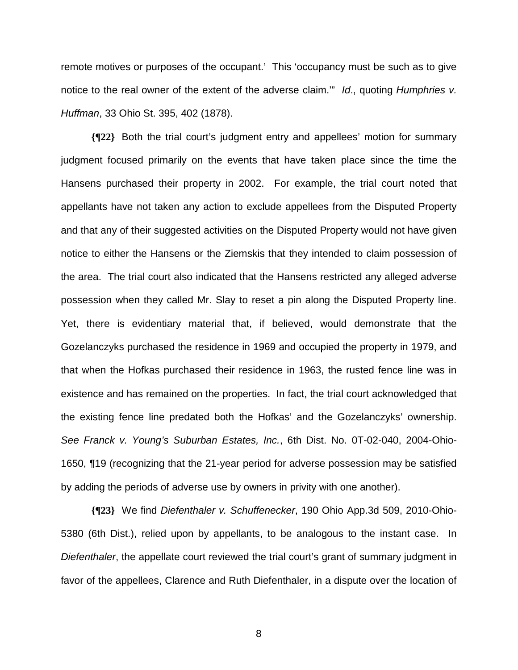remote motives or purposes of the occupant.' This 'occupancy must be such as to give notice to the real owner of the extent of the adverse claim.'" *Id*., quoting *Humphries v. Huffman*, 33 Ohio St. 395, 402 (1878).

**{¶22}** Both the trial court's judgment entry and appellees' motion for summary judgment focused primarily on the events that have taken place since the time the Hansens purchased their property in 2002. For example, the trial court noted that appellants have not taken any action to exclude appellees from the Disputed Property and that any of their suggested activities on the Disputed Property would not have given notice to either the Hansens or the Ziemskis that they intended to claim possession of the area. The trial court also indicated that the Hansens restricted any alleged adverse possession when they called Mr. Slay to reset a pin along the Disputed Property line. Yet, there is evidentiary material that, if believed, would demonstrate that the Gozelanczyks purchased the residence in 1969 and occupied the property in 1979, and that when the Hofkas purchased their residence in 1963, the rusted fence line was in existence and has remained on the properties. In fact, the trial court acknowledged that the existing fence line predated both the Hofkas' and the Gozelanczyks' ownership. *See Franck v. Young's Suburban Estates, Inc.*, 6th Dist. No. 0T-02-040, 2004-Ohio-1650, ¶19 (recognizing that the 21-year period for adverse possession may be satisfied by adding the periods of adverse use by owners in privity with one another).

**{¶23}** We find *Diefenthaler v. Schuffenecker*, 190 Ohio App.3d 509, 2010-Ohio-5380 (6th Dist.), relied upon by appellants, to be analogous to the instant case. In *Diefenthaler*, the appellate court reviewed the trial court's grant of summary judgment in favor of the appellees, Clarence and Ruth Diefenthaler, in a dispute over the location of

en andere andere andere andere andere andere andere andere andere andere andere andere andere andere andere a<br>En de andere andere andere andere andere andere andere andere andere andere andere andere andere andere andere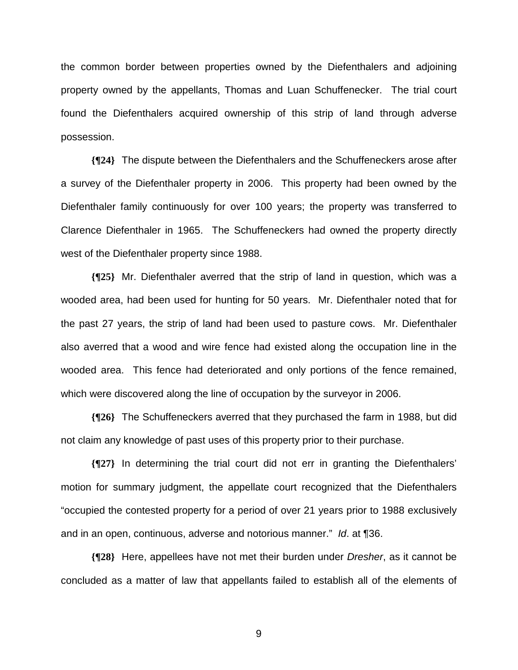the common border between properties owned by the Diefenthalers and adjoining property owned by the appellants, Thomas and Luan Schuffenecker. The trial court found the Diefenthalers acquired ownership of this strip of land through adverse possession.

**{¶24}** The dispute between the Diefenthalers and the Schuffeneckers arose after a survey of the Diefenthaler property in 2006. This property had been owned by the Diefenthaler family continuously for over 100 years; the property was transferred to Clarence Diefenthaler in 1965. The Schuffeneckers had owned the property directly west of the Diefenthaler property since 1988.

**{¶25}** Mr. Diefenthaler averred that the strip of land in question, which was a wooded area, had been used for hunting for 50 years. Mr. Diefenthaler noted that for the past 27 years, the strip of land had been used to pasture cows. Mr. Diefenthaler also averred that a wood and wire fence had existed along the occupation line in the wooded area. This fence had deteriorated and only portions of the fence remained, which were discovered along the line of occupation by the surveyor in 2006.

**{¶26}** The Schuffeneckers averred that they purchased the farm in 1988, but did not claim any knowledge of past uses of this property prior to their purchase.

**{¶27}** In determining the trial court did not err in granting the Diefenthalers' motion for summary judgment, the appellate court recognized that the Diefenthalers "occupied the contested property for a period of over 21 years prior to 1988 exclusively and in an open, continuous, adverse and notorious manner." *Id*. at ¶36.

**{¶28}** Here, appellees have not met their burden under *Dresher*, as it cannot be concluded as a matter of law that appellants failed to establish all of the elements of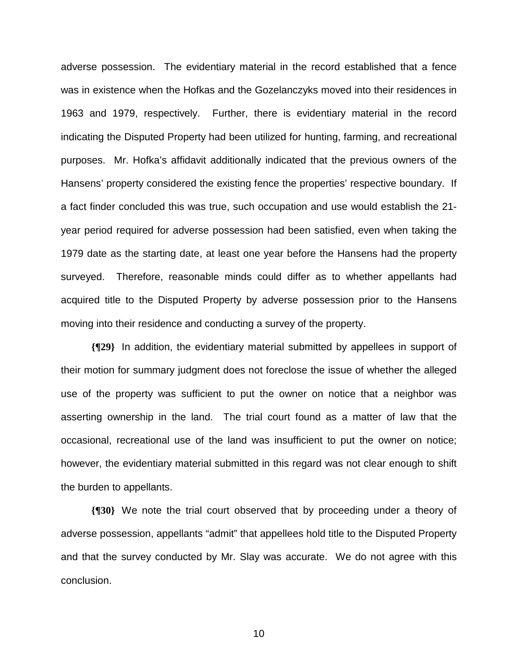adverse possession. The evidentiary material in the record established that a fence was in existence when the Hofkas and the Gozelanczyks moved into their residences in 1963 and 1979, respectively. Further, there is evidentiary material in the record indicating the Disputed Property had been utilized for hunting, farming, and recreational purposes. Mr. Hofka's affidavit additionally indicated that the previous owners of the Hansens' property considered the existing fence the properties' respective boundary. If a fact finder concluded this was true, such occupation and use would establish the 21 year period required for adverse possession had been satisfied, even when taking the 1979 date as the starting date, at least one year before the Hansens had the property surveyed. Therefore, reasonable minds could differ as to whether appellants had acquired title to the Disputed Property by adverse possession prior to the Hansens moving into their residence and conducting a survey of the property.

**{¶29}** In addition, the evidentiary material submitted by appellees in support of their motion for summary judgment does not foreclose the issue of whether the alleged use of the property was sufficient to put the owner on notice that a neighbor was asserting ownership in the land. The trial court found as a matter of law that the occasional, recreational use of the land was insufficient to put the owner on notice; however, the evidentiary material submitted in this regard was not clear enough to shift the burden to appellants.

**{¶30}** We note the trial court observed that by proceeding under a theory of adverse possession, appellants "admit" that appellees hold title to the Disputed Property and that the survey conducted by Mr. Slay was accurate. We do not agree with this conclusion.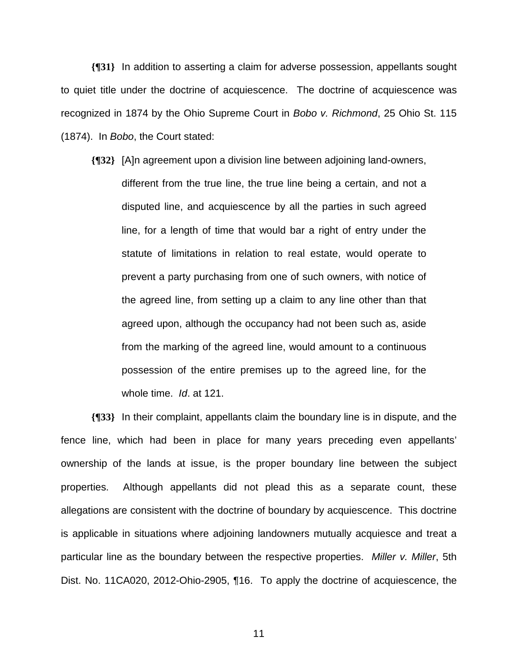**{¶31}** In addition to asserting a claim for adverse possession, appellants sought to quiet title under the doctrine of acquiescence. The doctrine of acquiescence was recognized in 1874 by the Ohio Supreme Court in *Bobo v. Richmond*, 25 Ohio St. 115 (1874). In *Bobo*, the Court stated:

**{¶32}** [A]n agreement upon a division line between adjoining land-owners, different from the true line, the true line being a certain, and not a disputed line, and acquiescence by all the parties in such agreed line, for a length of time that would bar a right of entry under the statute of limitations in relation to real estate, would operate to prevent a party purchasing from one of such owners, with notice of the agreed line, from setting up a claim to any line other than that agreed upon, although the occupancy had not been such as, aside from the marking of the agreed line, would amount to a continuous possession of the entire premises up to the agreed line, for the whole time. *Id*. at 121.

**{¶33}** In their complaint, appellants claim the boundary line is in dispute, and the fence line, which had been in place for many years preceding even appellants' ownership of the lands at issue, is the proper boundary line between the subject properties. Although appellants did not plead this as a separate count, these allegations are consistent with the doctrine of boundary by acquiescence. This doctrine is applicable in situations where adjoining landowners mutually acquiesce and treat a particular line as the boundary between the respective properties. *Miller v. Miller*, 5th Dist. No. 11CA020, 2012-Ohio-2905, ¶16. To apply the doctrine of acquiescence, the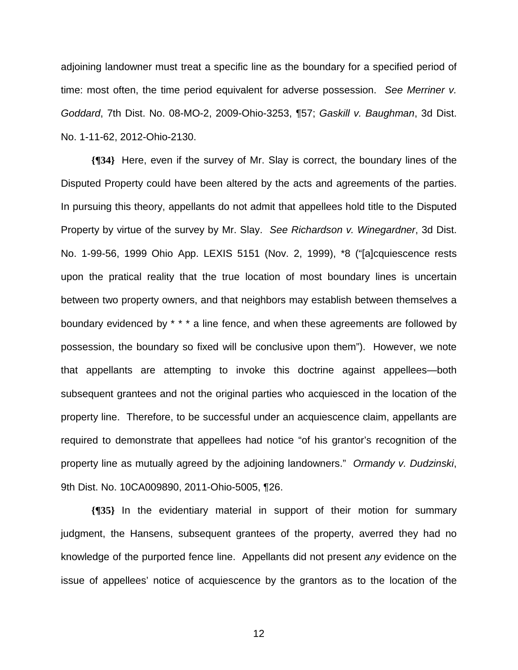adjoining landowner must treat a specific line as the boundary for a specified period of time: most often, the time period equivalent for adverse possession. *See Merriner v. Goddard*, 7th Dist. No. 08-MO-2, 2009-Ohio-3253, ¶57; *Gaskill v. Baughman*, 3d Dist. No. 1-11-62, 2012-Ohio-2130.

**{¶34}** Here, even if the survey of Mr. Slay is correct, the boundary lines of the Disputed Property could have been altered by the acts and agreements of the parties. In pursuing this theory, appellants do not admit that appellees hold title to the Disputed Property by virtue of the survey by Mr. Slay. *See Richardson v. Winegardner*, 3d Dist. No. 1-99-56, 1999 Ohio App. LEXIS 5151 (Nov. 2, 1999), \*8 ("[a]cquiescence rests upon the pratical reality that the true location of most boundary lines is uncertain between two property owners, and that neighbors may establish between themselves a boundary evidenced by \* \* \* a line fence, and when these agreements are followed by possession, the boundary so fixed will be conclusive upon them"). However, we note that appellants are attempting to invoke this doctrine against appellees—both subsequent grantees and not the original parties who acquiesced in the location of the property line. Therefore, to be successful under an acquiescence claim, appellants are required to demonstrate that appellees had notice "of his grantor's recognition of the property line as mutually agreed by the adjoining landowners." *Ormandy v. Dudzinski*, 9th Dist. No. 10CA009890, 2011-Ohio-5005, ¶26.

**{¶35}** In the evidentiary material in support of their motion for summary judgment, the Hansens, subsequent grantees of the property, averred they had no knowledge of the purported fence line. Appellants did not present *any* evidence on the issue of appellees' notice of acquiescence by the grantors as to the location of the